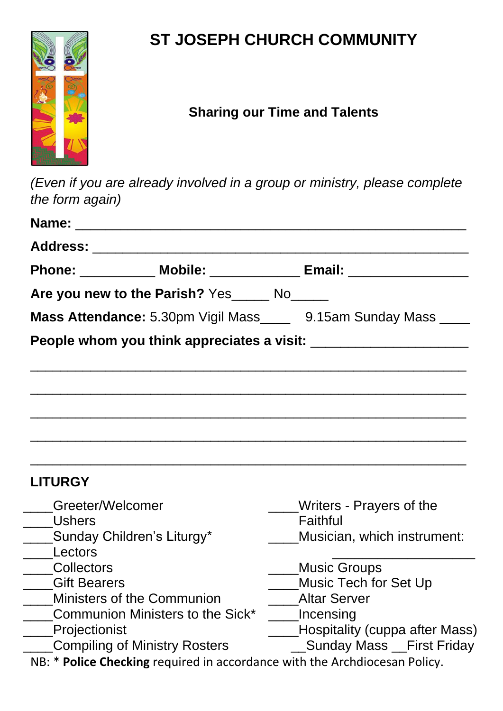

## **ST JOSEPH CHURCH COMMUNITY**

## **Sharing our Time and Talents**

*(Even if you are already involved in a group or ministry, please complete the form again)*

|                                      |                                               | Phone: ____________ Mobile: ______________ Email: ______________________________ |
|--------------------------------------|-----------------------------------------------|----------------------------------------------------------------------------------|
|                                      | Are you new to the Parish? Yes______ No______ |                                                                                  |
|                                      |                                               | Mass Attendance: 5.30pm Vigil Mass______ 9.15am Sunday Mass _____                |
|                                      |                                               | People whom you think appreciates a visit: _________________________             |
|                                      |                                               |                                                                                  |
|                                      |                                               |                                                                                  |
|                                      |                                               |                                                                                  |
|                                      |                                               |                                                                                  |
|                                      |                                               |                                                                                  |
|                                      |                                               |                                                                                  |
| <b>LITURGY</b>                       |                                               |                                                                                  |
| Greeter/Welcomer                     |                                               | Writers - Prayers of the                                                         |
| <b>Ushers</b>                        |                                               | Faithful                                                                         |
|                                      | Sunday Children's Liturgy*                    | Musician, which instrument:                                                      |
| Lectors<br><b>Collectors</b>         |                                               | <b>Music Groups</b>                                                              |
| <b>Gift Bearers</b>                  |                                               | Music Tech for Set Up                                                            |
| <b>Ministers of the Communion</b>    |                                               | <b>Altar Server</b>                                                              |
| Communion Ministers to the Sick*     |                                               | Incensing                                                                        |
| Projectionist                        |                                               | Hospitality (cuppa after Mass)                                                   |
| <b>Compiling of Ministry Rosters</b> |                                               | Sunday Mass __First Friday                                                       |
|                                      |                                               | NB: * Police Checking required in accordance with the Archdiocesan Policy.       |
|                                      |                                               |                                                                                  |